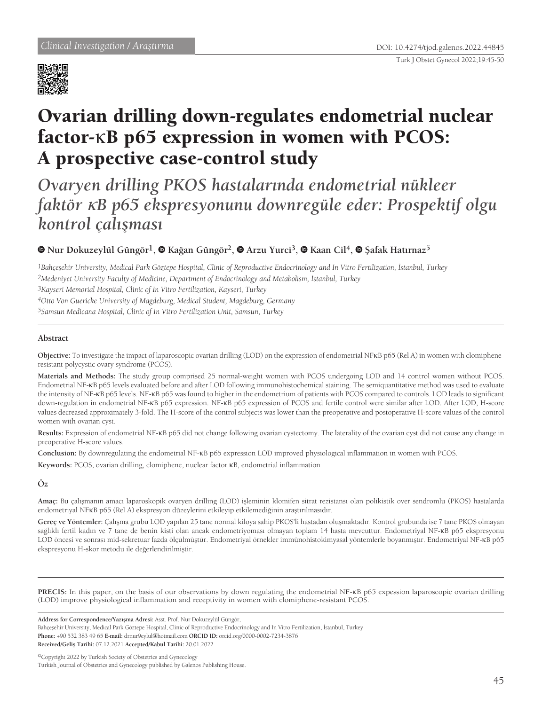

# Ovarian drilling down-regulates endometrial nuclear factor-κB p65 expression in women with PCOS: A prospective case-control study

*Ovaryen drilling PKOS hastalarında endometrial nükleer faktör* κ*B p65 ekspresyonunu downregüle eder: Prospektif olgu kontrol çalışması*

## **Nur Dokuzeylül Güngör1,Kağan Güngör2,Arzu Yurci3,Kaan Cil4, Şafak Hatırnaz<sup>5</sup>**

*Bahçeşehir University, Medical Park Göztepe Hospital, Clinic of Reproductive Endocrinology and In Vitro Fertilization, İstanbul, Turkey Medeniyet University Faculty of Medicine, Department of Endocrinology and Metabolism, İstanbul, Turkey Kayseri Memorial Hospital, Clinic of In Vitro Fertilization, Kayseri, Turkey Otto Von Guericke University of Magdeburg, Medical Student, Magdeburg, Germany Samsun Medicana Hospital, Clinic of In Vitro Fertilization Unit, Samsun, Turkey*

### **Abstract**

**Objective:** To investigate the impact of laparoscopic ovarian drilling (LOD) on the expression of endometrial NFκB p65 (Rel A) in women with clomipheneresistant polycystic ovary syndrome (PCOS).

**Materials and Methods:** The study group comprised 25 normal-weight women with PCOS undergoing LOD and 14 control women without PCOS. Endometrial NF-κB p65 levels evaluated before and after LOD following immunohistochemical staining. The semiquantitative method was used to evaluate the intensity of NF-κB p65 levels. NF-κB p65 was found to higher in the endometrium of patients with PCOS compared to controls. LOD leads to significant down-regulation in endometrial NF-κB p65 expression. NF-κB p65 expression of PCOS and fertile control were similar after LOD. After LOD, H-score values decreased approximately 3-fold. The H-score of the control subjects was lower than the preoperative and postoperative H-score values of the control women with ovarian cyst.

**Results:** Expression of endometrial NF-κB p65 did not change following ovarian cystectomy. The laterality of the ovarian cyst did not cause any change in preoperative H-score values.

**Conclusion:** By downregulating the endometrial NF-κB p65 expression LOD improved physiological inflammation in women with PCOS.

**Keywords:** PCOS, ovarian drilling, clomiphene, nuclear factor κB, endometrial inflammation

**Öz**

**Amaç:** Bu çalışmanın amacı laparoskopik ovaryen drilling (LOD) işleminin klomifen sitrat rezistansı olan polikistik over sendromlu (PKOS) hastalarda endometriyal NFκB p65 (Rel A) ekspresyon düzeylerini etkileyip etkilemediğinin araştırılmasıdır.

**Gereç ve Yöntemler:** Çalışma grubu LOD yapılan 25 tane normal kiloya sahip PKOS'li hastadan oluşmaktadır. Kontrol grubunda ise 7 tane PKOS olmayan sağlıklı fertil kadın ve 7 tane de benin kisti olan ancak endometriyoması olmayan toplam 14 hasta mevcuttur. Endometriyal NF-κB p65 ekspresyonu LOD öncesi ve sonrası mid-sekretuar fazda ölçülmüştür. Endometriyal örnekler immünohistokimyasal yöntemlerle boyanmıştır. Endometriyal NF-κB p65 ekspresyonu H-skor metodu ile değerlendirilmiştir.

PRECIS: In this paper, on the basis of our observations by down regulating the endometrial NF-<sub>KB</sub> p65 expession laparoscopic ovarian drilling (LOD) improve physiological inflammation and receptivity in women with clomiphene-resistant PCOS.

**Address for Correspondence/Yazışma Adresi:** Asst. Prof. Nur Dokuzeylül Güngör,

Bahçeşehir University, Medical Park Göztepe Hospital, Clinic of Reproductive Endocrinology and In Vitro Fertilization, İstanbul, Turkey **Phone:** +90 532 383 49 65 **E-mail:** drnur9eylul@hotmail.com **ORCID ID:** orcid.org/0000-0002-7234-3876

**Received/Geliş Tarihi:** 07.12.2021 **Accepted/Kabul Tarihi:** 20.01.2022

©Copyright 2022 by Turkish Society of Obstetrics and Gynecology Turkish Journal of Obstetrics and Gynecology published by Galenos Publishing House.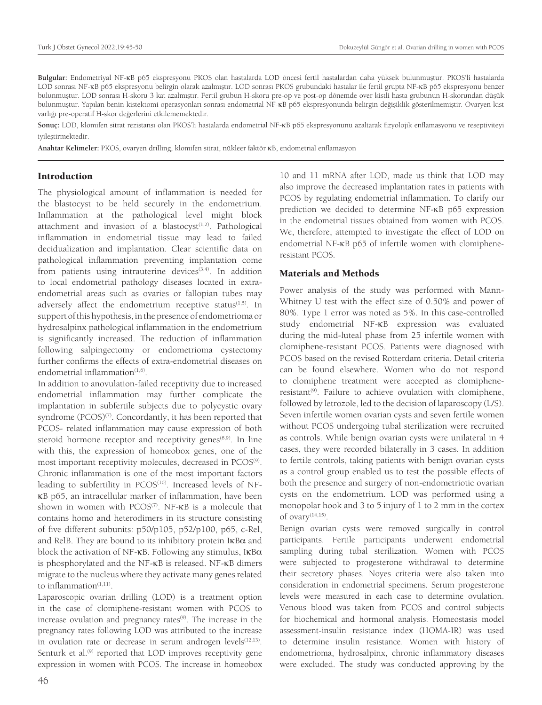**Bulgular:** Endometriyal NF-κB p65 ekspresyonu PKOS olan hastalarda LOD öncesi fertil hastalardan daha yüksek bulunmuştur. PKOS'li hastalarda LOD sonrası NF-κB p65 ekspresyonu belirgin olarak azalmıştır. LOD sonrası PKOS grubundaki hastalar ile fertil grupta NF-κB p65 ekspresyonu benzer bulunmuştur. LOD sonrası H-skoru 3 kat azalmıştır. Fertil grubun H-skoru pre-op ve post-op dönemde over kistli hasta grubunun H-skorundan düşük bulunmuştur. Yapılan benin kistektomi operasyonları sonrası endometrial NF-κB p65 ekspresyonunda belirgin değişiklik gösterilmemiştir. Ovaryen kist varlığı pre-operatif H-skor değerlerini etkilememektedir.

**Sonuç:** LOD, klomifen sitrat rezistansı olan PKOS'li hastalarda endometrial NF-κB p65 ekspresyonunu azaltarak fizyolojik enflamasyonu ve reseptiviteyi iyileştirmektedir.

**Anahtar Kelimeler:** PKOS, ovaryen drilling, klomifen sitrat, nükleer faktör κB, endometrial enflamasyon

#### **Introduction**

The physiological amount of inflammation is needed for the blastocyst to be held securely in the endometrium. Inflammation at the pathological level might block attachment and invasion of a blastocyst $(1,2)$ . Pathological inflammation in endometrial tissue may lead to failed decidualization and implantation. Clear scientific data on pathological inflammation preventing implantation come from patients using intrauterine devices $(3,4)$ . In addition to local endometrial pathology diseases located in extraendometrial areas such as ovaries or fallopian tubes may adversely affect the endometrium receptive status $(1,5)$ . In support of this hypothesis, in the presence of endometrioma or hydrosalpinx pathological inflammation in the endometrium is significantly increased. The reduction of inflammation following salpingectomy or endometrioma cystectomy further confirms the effects of extra-endometrial diseases on endometrial inflammation $(1,6)$ .

In addition to anovulation-failed receptivity due to increased endometrial inflammation may further complicate the implantation in subfertile subjects due to polycystic ovary syndrome (PCOS)<sup>(7)</sup>. Concordantly, it has been reported that PCOS- related inflammation may cause expression of both steroid hormone receptor and receptivity genes<sup>(8,9)</sup>. In line with this, the expression of homeobox genes, one of the most important receptivity molecules, decreased in PCOS<sup>(9)</sup>. Chronic inflammation is one of the most important factors leading to subfertility in PCOS<sup>(10)</sup>. Increased levels of NFκB p65, an intracellular marker of inflammation, have been shown in women with  $PCOS^{(7)}$ . NF- $\kappa$ B is a molecule that contains homo and heterodimers in its structure consisting of five different subunits: p50/p105, p52/p100, p65, c-Rel, and RelB. They are bound to its inhibitory protein IκBα and block the activation of NF- $\kappa$ B. Following any stimulus, I $\kappa$ B $\alpha$ is phosphorylated and the NF-κB is released. NF-κB dimers migrate to the nucleus where they activate many genes related to inflammation<sup>(1,11)</sup>.

Laparoscopic ovarian drilling (LOD) is a treatment option in the case of clomiphene-resistant women with PCOS to increase ovulation and pregnancy rates<sup>(9)</sup>. The increase in the pregnancy rates following LOD was attributed to the increase in ovulation rate or decrease in serum androgen levels $(12,13)$ . Senturk et al.<sup>(9)</sup> reported that LOD improves receptivity gene expression in women with PCOS. The increase in homeobox 10 and 11 mRNA after LOD, made us think that LOD may also improve the decreased implantation rates in patients with PCOS by regulating endometrial inflammation. To clarify our prediction we decided to determine NF-κB p65 expression in the endometrial tissues obtained from women with PCOS. We, therefore, attempted to investigate the effect of LOD on endometrial NF-κB p65 of infertile women with clomipheneresistant PCOS.

#### Materials and Methods

Power analysis of the study was performed with Mann-Whitney U test with the effect size of 0.50% and power of 80%. Type 1 error was noted as 5%. In this case-controlled study endometrial NF-κB expression was evaluated during the mid-luteal phase from 25 infertile women with clomiphene-resistant PCOS. Patients were diagnosed with PCOS based on the revised Rotterdam criteria. Detail criteria can be found elsewhere. Women who do not respond to clomiphene treatment were accepted as clomiphene $resistant<sup>(9)</sup>$ . Failure to achieve ovulation with clomiphene, followed by letrozole, led to the decision of laparoscopy (L/S). Seven infertile women ovarian cysts and seven fertile women without PCOS undergoing tubal sterilization were recruited as controls. While benign ovarian cysts were unilateral in 4 cases, they were recorded bilaterally in 3 cases. In addition to fertile controls, taking patients with benign ovarian cysts as a control group enabled us to test the possible effects of both the presence and surgery of non-endometriotic ovarian cysts on the endometrium. LOD was performed using a monopolar hook and 3 to 5 injury of 1 to 2 mm in the cortex of ovary $(14,15)$ .

Benign ovarian cysts were removed surgically in control participants. Fertile participants underwent endometrial sampling during tubal sterilization. Women with PCOS were subjected to progesterone withdrawal to determine their secretory phases. Noyes criteria were also taken into consideration in endometrial specimens. Serum progesterone levels were measured in each case to determine ovulation. Venous blood was taken from PCOS and control subjects for biochemical and hormonal analysis. Homeostasis model assessment-insulin resistance index (HOMA-IR) was used to determine insulin resistance. Women with history of endometrioma, hydrosalpinx, chronic inflammatory diseases were excluded. The study was conducted approving by the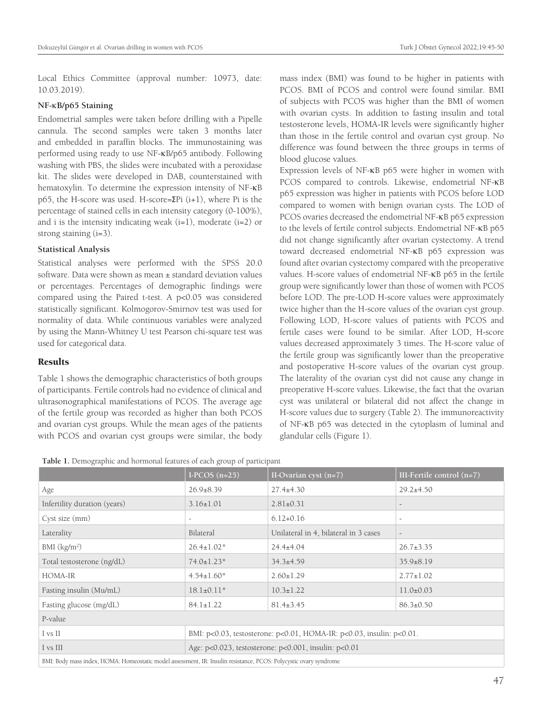Local Ethics Committee (approval number: 10973, date: 10.03.2019).

#### **NF-**κ**B/p65 Staining**

Endometrial samples were taken before drilling with a Pipelle cannula. The second samples were taken 3 months later and embedded in paraffin blocks. The immunostaining was performed using ready to use NF-κB/p65 antibody. Following washing with PBS, the slides were incubated with a peroxidase kit. The slides were developed in DAB, counterstained with hematoxylin. To determine the expression intensity of NF-κB p65, the H-score was used. H-score= $\Sigma$ Pi (i+1), where Pi is the percentage of stained cells in each intensity category (0-100%), and i is the intensity indicating weak  $(i=1)$ , moderate  $(i=2)$  or strong staining (i=3).

#### **Statistical Analysis**

Statistical analyses were performed with the SPSS 20.0 software. Data were shown as mean ± standard deviation values or percentages. Percentages of demographic findings were compared using the Paired t-test. A p<0.05 was considered statistically significant. Kolmogorov-Smirnov test was used for normality of data. While continuous variables were analyzed by using the Mann-Whitney U test Pearson chi-square test was used for categorical data.

#### **Results**

Table 1 shows the demographic characteristics of both groups of participants. Fertile controls had no evidence of clinical and ultrasonographical manifestations of PCOS. The average age of the fertile group was recorded as higher than both PCOS and ovarian cyst groups. While the mean ages of the patients with PCOS and ovarian cyst groups were similar, the body mass index (BMI) was found to be higher in patients with PCOS. BMI of PCOS and control were found similar. BMI of subjects with PCOS was higher than the BMI of women with ovarian cysts. In addition to fasting insulin and total testosterone levels, HOMA-IR levels were significantly higher than those in the fertile control and ovarian cyst group. No difference was found between the three groups in terms of blood glucose values.

Expression levels of NF-κB p65 were higher in women with PCOS compared to controls. Likewise, endometrial NF-κB p65 expression was higher in patients with PCOS before LOD compared to women with benign ovarian cysts. The LOD of PCOS ovaries decreased the endometrial NF-κB p65 expression to the levels of fertile control subjects. Endometrial NF-κB p65 did not change significantly after ovarian cystectomy. A trend toward decreased endometrial NF-κB p65 expression was found after ovarian cystectomy compared with the preoperative values. H-score values of endometrial NF-κB p65 in the fertile group were significantly lower than those of women with PCOS before LOD. The pre-LOD H-score values were approximately twice higher than the H-score values of the ovarian cyst group. Following LOD, H-score values of patients with PCOS and fertile cases were found to be similar. After LOD, H-score values decreased approximately 3 times. The H-score value of the fertile group was significantly lower than the preoperative and postoperative H-score values of the ovarian cyst group. The laterality of the ovarian cyst did not cause any change in preoperative H-score values. Likewise, the fact that the ovarian cyst was unilateral or bilateral did not affect the change in H-score values due to surgery (Table 2). The immunoreactivity of NF-κB p65 was detected in the cytoplasm of luminal and glandular cells (Figure 1).

**Table 1.** Demographic and hormonal features of each group of participant

|                                                                                                                                                                                                                                                                                                                                                                         | I-PCOS $(n=25)$                                                      | II-Ovarian cyst $(n=7)$               | III-Fertile control $(n=7)$ |  |
|-------------------------------------------------------------------------------------------------------------------------------------------------------------------------------------------------------------------------------------------------------------------------------------------------------------------------------------------------------------------------|----------------------------------------------------------------------|---------------------------------------|-----------------------------|--|
| Age                                                                                                                                                                                                                                                                                                                                                                     | $26.9 \pm 8.39$                                                      | $27.4 \pm 4.30$                       | $29.2 \pm 4.50$             |  |
| Infertility duration (years)                                                                                                                                                                                                                                                                                                                                            | $3.16 \pm 1.01$                                                      | $2.81 \pm 0.31$                       | $\overline{\phantom{a}}$    |  |
| Cyst size (mm)                                                                                                                                                                                                                                                                                                                                                          |                                                                      | $6.12+0.16$                           | $\overline{\phantom{a}}$    |  |
| Laterality                                                                                                                                                                                                                                                                                                                                                              | Bilateral                                                            | Unilateral in 4, bilateral in 3 cases | $\overline{\phantom{a}}$    |  |
| BMI (kg/m <sup>2</sup> )                                                                                                                                                                                                                                                                                                                                                | $26.4 \pm 1.02*$                                                     | $24.4 \pm 4.04$                       | $26.7 \pm 3.35$             |  |
| Total testosterone (ng/dL)                                                                                                                                                                                                                                                                                                                                              | $74.0 \pm 1.23$ *                                                    | $34.3+4.59$                           | $35.9 \pm 8.19$             |  |
| HOMA-IR                                                                                                                                                                                                                                                                                                                                                                 | $4.54 \pm 1.60*$                                                     | $2.60 \pm 1.29$                       | $2.77 \pm 1.02$             |  |
| Fasting insulin (Mu/mL)                                                                                                                                                                                                                                                                                                                                                 | $18.1 \pm 0.11*$                                                     | $10.3 \pm 1.22$                       | $11.0 \pm 0.03$             |  |
| Fasting glucose (mg/dL)                                                                                                                                                                                                                                                                                                                                                 | $84.1 \pm 1.22$                                                      | $81.4 \pm 3.45$                       | $86.3 \pm 0.50$             |  |
| P-value                                                                                                                                                                                                                                                                                                                                                                 |                                                                      |                                       |                             |  |
| I vs II                                                                                                                                                                                                                                                                                                                                                                 | BMI: p<0.03, testosterone: p<0.01, HOMA-IR: p<0.03, insulin: p<0.01. |                                       |                             |  |
| I vs III                                                                                                                                                                                                                                                                                                                                                                | Age: p<0.023, testosterone: p<0.001, insulin: p<0.01                 |                                       |                             |  |
| $\mathbf{m}$ $\mathbf{r}$ $\mathbf{r}$ $\mathbf{r}$ $\mathbf{r}$ $\mathbf{r}$ $\mathbf{r}$ $\mathbf{r}$ $\mathbf{r}$ $\mathbf{r}$ $\mathbf{r}$ $\mathbf{r}$ $\mathbf{r}$ $\mathbf{r}$ $\mathbf{r}$ $\mathbf{r}$ $\mathbf{r}$ $\mathbf{r}$ $\mathbf{r}$ $\mathbf{r}$ $\mathbf{r}$ $\mathbf{r}$ $\mathbf{r}$ $\mathbf{r}$ $\mathbf{$<br>$m(n - n)$<br>$+1$ $+7$ $-1$ $+1$ |                                                                      |                                       |                             |  |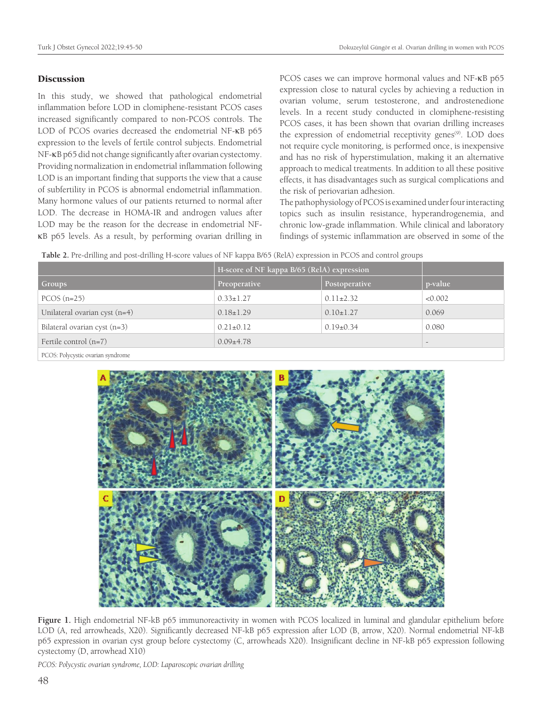### **Discussion**

In this study, we showed that pathological endometrial inflammation before LOD in clomiphene-resistant PCOS cases increased significantly compared to non-PCOS controls. The LOD of PCOS ovaries decreased the endometrial NF-κB p65 expression to the levels of fertile control subjects. Endometrial NF-κB p65 did not change significantly after ovarian cystectomy. Providing normalization in endometrial inflammation following LOD is an important finding that supports the view that a cause of subfertility in PCOS is abnormal endometrial inflammation. Many hormone values of our patients returned to normal after LOD. The decrease in HOMA-IR and androgen values after LOD may be the reason for the decrease in endometrial NFκB p65 levels. As a result, by performing ovarian drilling in

PCOS cases we can improve hormonal values and NF-κB p65 expression close to natural cycles by achieving a reduction in ovarian volume, serum testosterone, and androstenedione levels. In a recent study conducted in clomiphene-resisting PCOS cases, it has been shown that ovarian drilling increases the expression of endometrial receptivity genes<sup>(9)</sup>. LOD does not require cycle monitoring, is performed once, is inexpensive and has no risk of hyperstimulation, making it an alternative approach to medical treatments. In addition to all these positive effects, it has disadvantages such as surgical complications and the risk of periovarian adhesion.

The pathophysiology of PCOS is examined under four interacting topics such as insulin resistance, hyperandrogenemia, and chronic low-grade inflammation. While clinical and laboratory findings of systemic inflammation are observed in some of the

**Table 2.** Pre-drilling and post-drilling H-score values of NF kappa B/65 (RelA) expression in PCOS and control groups

|                               | H-score of NF kappa B/65 (RelA) expression |                 |                 |
|-------------------------------|--------------------------------------------|-----------------|-----------------|
| Groups                        | Preoperative                               | Postoperative   | p-value         |
| $PCOS$ (n=25)                 | $0.33 \pm 1.27$                            | $0.11\pm2.32$   | < 0.002         |
| Unilateral ovarian cyst (n=4) | $0.18 \pm 1.29$                            | $0.10 \pm 1.27$ | 0.069           |
| Bilateral ovarian cyst (n=3)  | $0.21 \pm 0.12$                            | $0.19\pm0.34$   | 0.080           |
| Fertile control $(n=7)$       | $0.09 + 4.78$                              |                 | $\qquad \qquad$ |

PCOS: Polycystic ovarian syndrome



**Figure 1.** High endometrial NF-kB p65 immunoreactivity in women with PCOS localized in luminal and glandular epithelium before LOD (A, red arrowheads, X20). Significantly decreased NF-kB p65 expression after LOD (B, arrow, X20). Normal endometrial NF-kB p65 expression in ovarian cyst group before cystectomy (C, arrowheads X20). Insignificant decline in NF-kB p65 expression following cystectomy (D, arrowhead X10)

*PCOS: Polycystic ovarian syndrome, LOD: Laparoscopic ovarian drilling*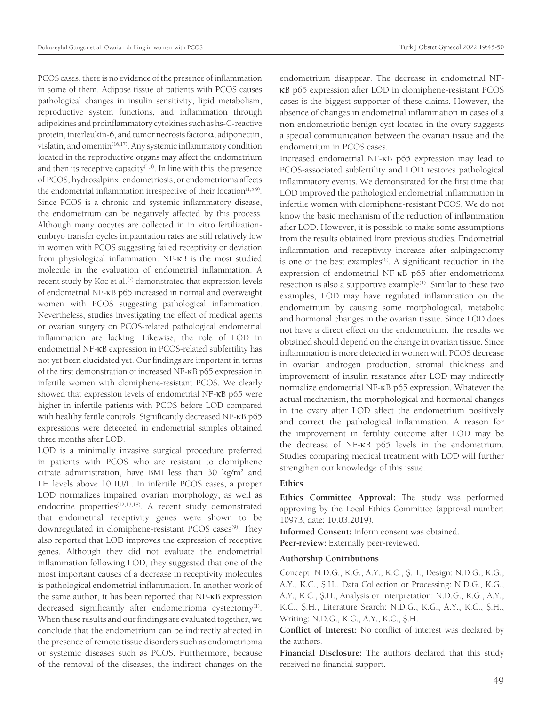PCOS cases, there is no evidence of the presence of inflammation in some of them. Adipose tissue of patients with PCOS causes pathological changes in insulin sensitivity, lipid metabolism, reproductive system functions, and inflammation through adipokines and proinflammatory cytokines such as hs-C-reactive protein, interleukin-6, and tumor necrosis factor  $\alpha$ , adiponectin, visfatin, and omentin<sup>(16,17)</sup>. Any systemic inflammatory condition located in the reproductive organs may affect the endometrium and then its receptive capacity $(1,3)$ . In line with this, the presence of PCOS, hydrosalpinx, endometriosis, or endometrioma affects the endometrial inflammation irrespective of their location $(1,5,9)$ . Since PCOS is a chronic and systemic inflammatory disease, the endometrium can be negatively affected by this process. Although many oocytes are collected in in vitro fertilizationembryo transfer cycles implantation rates are still relatively low in women with PCOS suggesting failed receptivity or deviation from physiological inflammation. NF-κB is the most studied molecule in the evaluation of endometrial inflammation. A recent study by Koc et al.<sup>(7)</sup> demonstrated that expression levels of endometrial NF-κB p65 increased in normal and overweight women with PCOS suggesting pathological inflammation. Nevertheless, studies investigating the effect of medical agents or ovarian surgery on PCOS-related pathological endometrial inflammation are lacking. Likewise, the role of LOD in endometrial NF-κB expression in PCOS-related subfertility has not yet been elucidated yet. Our findings are important in terms of the first demonstration of increased NF-κB p65 expression in infertile women with clomiphene-resistant PCOS. We clearly showed that expression levels of endometrial NF-κB p65 were higher in infertile patients with PCOS before LOD compared with healthy fertile controls. Significantly decreased NF-κB p65 expressions were deteceted in endometrial samples obtained three months after LOD.

LOD is a minimally invasive surgical procedure preferred in patients with PCOS who are resistant to clomiphene citrate administration, have BMI less than 30 kg/m<sup>2</sup> and LH levels above 10 IU/L. In infertile PCOS cases, a proper LOD normalizes impaired ovarian morphology, as well as endocrine properties<sup>(12,13,18)</sup>. A recent study demonstrated that endometrial receptivity genes were shown to be downregulated in clomiphene-resistant PCOS cases<sup>(9)</sup>. They also reported that LOD improves the expression of receptive genes. Although they did not evaluate the endometrial inflammation following LOD, they suggested that one of the most important causes of a decrease in receptivity molecules is pathological endometrial inflammation. In another work of the same author, it has been reported that NF-κB expression decreased significantly after endometrioma cystectomy<sup>(1)</sup>. When these results and our findings are evaluated together, we conclude that the endometrium can be indirectly affected in the presence of remote tissue disorders such as endometrioma or systemic diseases such as PCOS. Furthermore, because of the removal of the diseases, the indirect changes on the

endometrium disappear. The decrease in endometrial NFκB p65 expression after LOD in clomiphene-resistant PCOS cases is the biggest supporter of these claims. However, the absence of changes in endometrial inflammation in cases of a non-endometriotic benign cyst located in the ovary suggests a special communication between the ovarian tissue and the endometrium in PCOS cases.

Increased endometrial NF-κB p65 expression may lead to PCOS-associated subfertility and LOD restores pathological inflammatory events. We demonstrated for the first time that LOD improved the pathological endometrial inflammation in infertile women with clomiphene-resistant PCOS. We do not know the basic mechanism of the reduction of inflammation after LOD. However, it is possible to make some assumptions from the results obtained from previous studies. Endometrial inflammation and receptivity increase after salpingectomy is one of the best examples<sup>(6)</sup>. A significant reduction in the expression of endometrial NF-κB p65 after endometrioma resection is also a supportive example<sup>(1)</sup>. Similar to these two examples, LOD may have regulated inflammation on the endometrium by causing some morphological**,** metabolic and hormonal changes in the ovarian tissue. Since LOD does not have a direct effect on the endometrium, the results we obtained should depend on the change in ovarian tissue. Since inflammation is more detected in women with PCOS decrease in ovarian androgen production, stromal thickness and improvement of insulin resistance after LOD may indirectly normalize endometrial NF-κB p65 expression. Whatever the actual mechanism, the morphological and hormonal changes in the ovary after LOD affect the endometrium positively and correct the pathological inflammation. A reason for the improvement in fertility outcome after LOD may be the decrease of NF-κB p65 levels in the endometrium. Studies comparing medical treatment with LOD will further strengthen our knowledge of this issue.

### **Ethics**

**Ethics Committee Approval:** The study was performed approving by the Local Ethics Committee (approval number: 10973, date: 10.03.2019).

**Informed Consent:** Inform consent was obtained. **Peer-review:** Externally peer-reviewed.

### **Authorship Contributions**

Concept: N.D.G., K.G., A.Y., K.C., Ş.H., Design: N.D.G., K.G., A.Y., K.C., Ş.H., Data Collection or Processing: N.D.G., K.G., A.Y., K.C., Ş.H., Analysis or Interpretation: N.D.G., K.G., A.Y., K.C., Ş.H., Literature Search: N.D.G., K.G., A.Y., K.C., Ş.H., Writing: N.D.G., K.G., A.Y., K.C., Ş.H.

**Conflict of Interest:** No conflict of interest was declared by the authors.

**Financial Disclosure:** The authors declared that this study received no financial support.